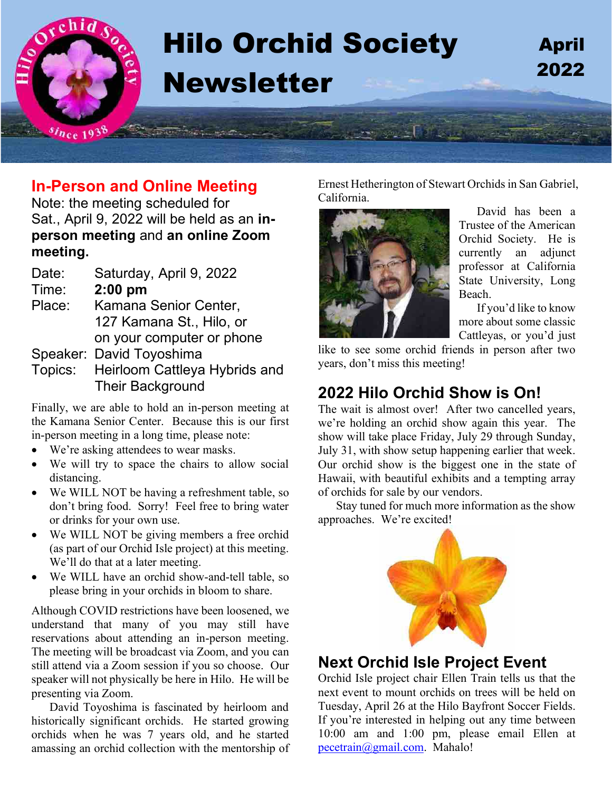

## **In-Person and Online Meeting**

Note: the meeting scheduled for Sat., April 9, 2022 will be held as an **inperson meeting** and **an online Zoom meeting.**

| Date:  | Saturday, April 9, 2022               |
|--------|---------------------------------------|
| Time:  | $2:00$ pm                             |
| Place: | Kamana Senior Center,                 |
|        | 127 Kamana St., Hilo, or              |
|        | on your computer or phone             |
|        | Speaker: David Toyoshima              |
|        | Topics: Heirloom Cattleya Hybrids and |

Their Background

Finally, we are able to hold an in-person meeting at the Kamana Senior Center. Because this is our first in-person meeting in a long time, please note:

- We're asking attendees to wear masks.
- We will try to space the chairs to allow social distancing.
- We WILL NOT be having a refreshment table, so don't bring food. Sorry! Feel free to bring water or drinks for your own use.
- We WILL NOT be giving members a free orchid (as part of our Orchid Isle project) at this meeting. We'll do that at a later meeting.
- We WILL have an orchid show-and-tell table, so please bring in your orchids in bloom to share.

Although COVID restrictions have been loosened, we understand that many of you may still have reservations about attending an in-person meeting. The meeting will be broadcast via Zoom, and you can still attend via a Zoom session if you so choose. Our speaker will not physically be here in Hilo. He will be presenting via Zoom.

David Toyoshima is fascinated by heirloom and historically significant orchids. He started growing orchids when he was 7 years old, and he started amassing an orchid collection with the mentorship of Ernest Hetherington of Stewart Orchids in San Gabriel, California.



David has been a Trustee of the American Orchid Society. He is currently an adjunct professor at California State University, Long Beach.

If you'd like to know more about some classic Cattleyas, or you'd just

like to see some orchid friends in person after two years, don't miss this meeting!

# **2022 Hilo Orchid Show is On!**

The wait is almost over! After two cancelled years, we're holding an orchid show again this year. The show will take place Friday, July 29 through Sunday, July 31, with show setup happening earlier that week. Our orchid show is the biggest one in the state of Hawaii, with beautiful exhibits and a tempting array of orchids for sale by our vendors.

Stay tuned for much more information as the show approaches. We're excited!



### **Next Orchid Isle Project Event**

Orchid Isle project chair Ellen Train tells us that the next event to mount orchids on trees will be held on Tuesday, April 26 at the Hilo Bayfront Soccer Fields. If you're interested in helping out any time between 10:00 am and 1:00 pm, please email Ellen at [pecetrain@gmail.com.](mailto:pecetrain@gmail.com) Mahalo!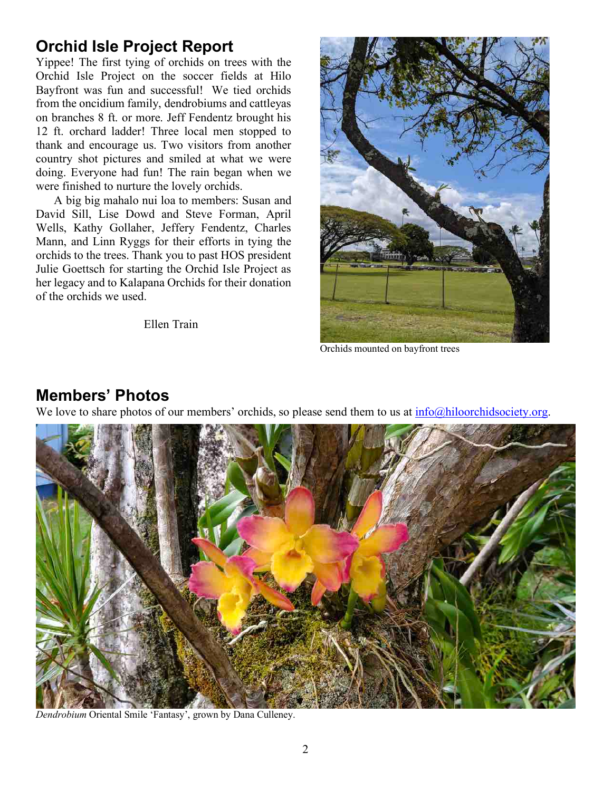# **Orchid Isle Project Report**

Yippee! The first tying of orchids on trees with the Orchid Isle Project on the soccer fields at Hilo Bayfront was fun and successful! We tied orchids from the oncidium family, dendrobiums and cattleyas on branches 8 ft. or more. Jeff Fendentz brought his 12 ft. orchard ladder! Three local men stopped to thank and encourage us. Two visitors from another country shot pictures and smiled at what we were doing. Everyone had fun! The rain began when we were finished to nurture the lovely orchids.

A big big mahalo nui loa to members: Susan and David Sill, Lise Dowd and Steve Forman, April Wells, Kathy Gollaher, Jeffery Fendentz, Charles Mann, and Linn Ryggs for their efforts in tying the orchids to the trees. Thank you to past HOS president Julie Goettsch for starting the Orchid Isle Project as her legacy and to Kalapana Orchids for their donation of the orchids we used.

Ellen Train



Orchids mounted on bayfront trees

#### **Members' Photos**

We love to share photos of our members' orchids, so please send them to us at  $\frac{info@hiloorchidsociety.org}{info@filoorchidsociety.org}$ .



*Dendrobium* Oriental Smile 'Fantasy', grown by Dana Culleney.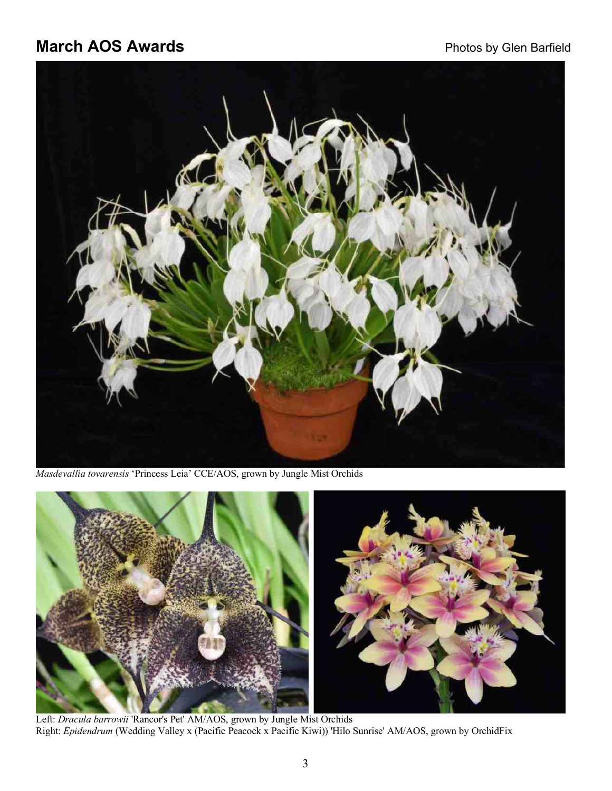# **March AOS Awards March AOS** Awards **Photos by Glen Barfield**



*Masdevallia tovarensis* 'Princess Leia' CCE/AOS, grown by Jungle Mist Orchids



Right: *Epidendrum* (Wedding Valley x (Pacific Peacock x Pacific Kiwi)) 'Hilo Sunrise' AM/AOS, grown by OrchidFix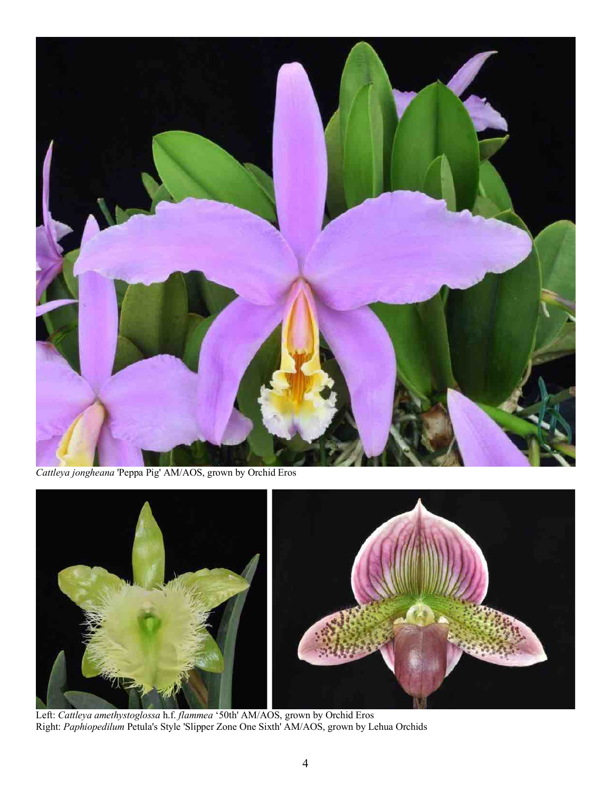

*Cattleya jongheana* 'Peppa Pig' AM/AOS, grown by Orchid Eros



 Left: *Cattleya amethystoglossa* h.f. *flammea* '50th' AM/AOS, grown by Orchid Eros Right: *Paphiopedilum* Petula's Style 'Slipper Zone One Sixth' AM/AOS, grown by Lehua Orchids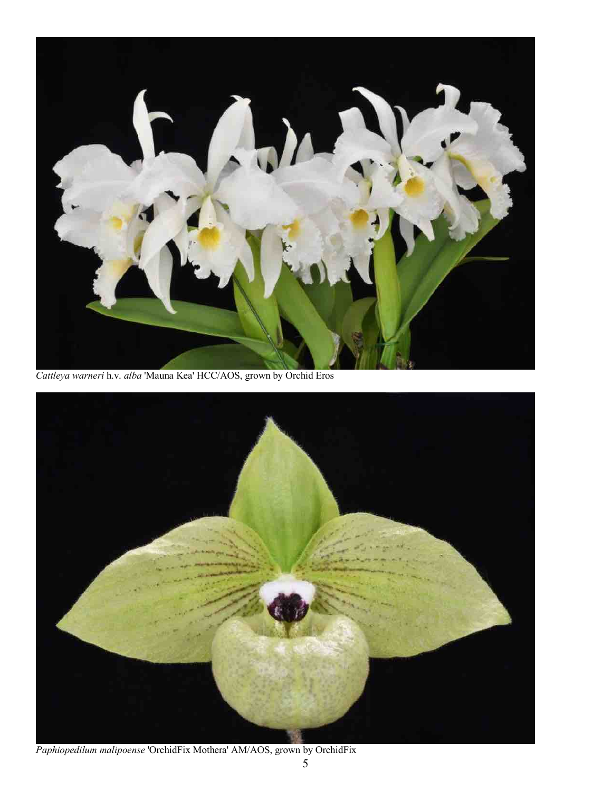

*Cattleya warneri* h.v. *alba* 'Mauna Kea' HCC/AOS, grown by Orchid Eros



*Paphiopedilum malipoense* 'OrchidFix Mothera' AM/AOS, grown by OrchidFix